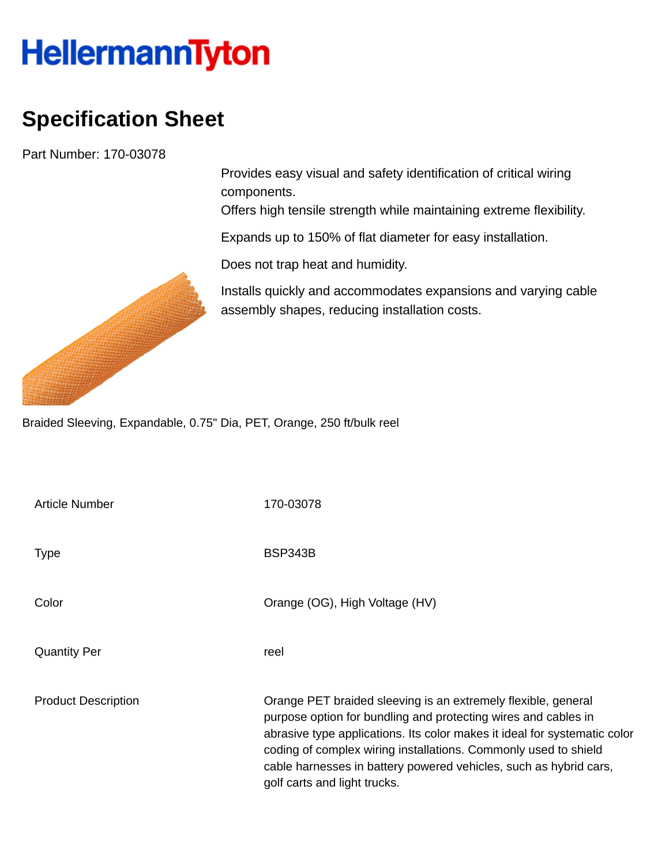## **HellermannTyton**

## **Specification Sheet**

Part Number: 170-03078

Provides easy visual and safety identification of critical wiring components.

Offers high tensile strength while maintaining extreme flexibility.

Expands up to 150% of flat diameter for easy installation.

Does not trap heat and humidity.

Installs quickly and accommodates expansions and varying cable assembly shapes, reducing installation costs.

Braided Sleeving, Expandable, 0.75" Dia, PET, Orange, 250 ft/bulk reel

| <b>Article Number</b>      | 170-03078                                                                                                                                                                                                                                                                                                                                                                            |
|----------------------------|--------------------------------------------------------------------------------------------------------------------------------------------------------------------------------------------------------------------------------------------------------------------------------------------------------------------------------------------------------------------------------------|
| <b>Type</b>                | <b>BSP343B</b>                                                                                                                                                                                                                                                                                                                                                                       |
| Color                      | Orange (OG), High Voltage (HV)                                                                                                                                                                                                                                                                                                                                                       |
| <b>Quantity Per</b>        | reel                                                                                                                                                                                                                                                                                                                                                                                 |
| <b>Product Description</b> | Orange PET braided sleeving is an extremely flexible, general<br>purpose option for bundling and protecting wires and cables in<br>abrasive type applications. Its color makes it ideal for systematic color<br>coding of complex wiring installations. Commonly used to shield<br>cable harnesses in battery powered vehicles, such as hybrid cars,<br>golf carts and light trucks. |

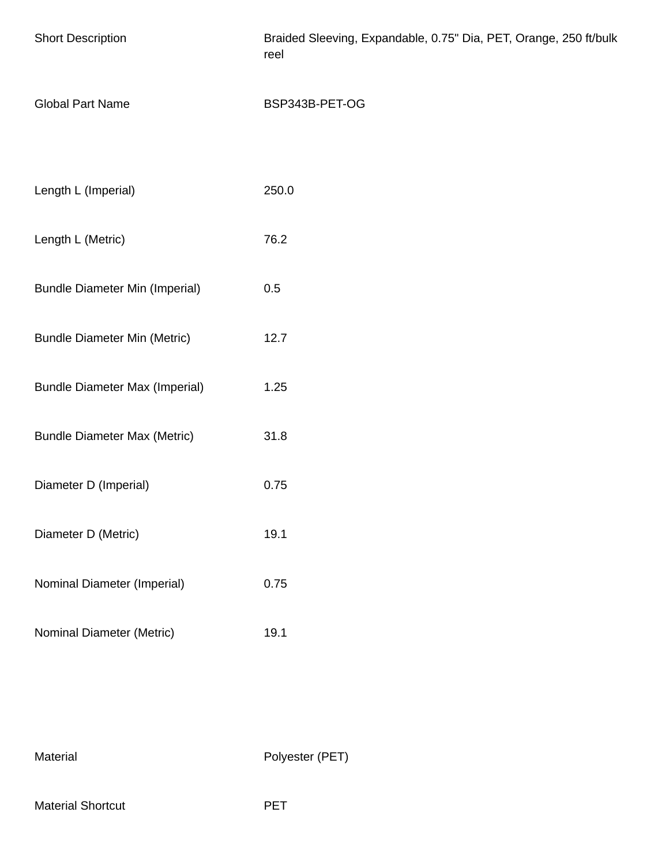| <b>Short Description</b>              | Braided Sleeving, Expandable, 0.75" Dia, PET, Orange, 250 ft/bulk<br>reel |
|---------------------------------------|---------------------------------------------------------------------------|
| <b>Global Part Name</b>               | BSP343B-PET-OG                                                            |
|                                       |                                                                           |
| Length L (Imperial)                   | 250.0                                                                     |
| Length L (Metric)                     | 76.2                                                                      |
| <b>Bundle Diameter Min (Imperial)</b> | 0.5                                                                       |
| <b>Bundle Diameter Min (Metric)</b>   | 12.7                                                                      |
| <b>Bundle Diameter Max (Imperial)</b> | 1.25                                                                      |
| <b>Bundle Diameter Max (Metric)</b>   | 31.8                                                                      |
| Diameter D (Imperial)                 | 0.75                                                                      |
| Diameter D (Metric)                   | 19.1                                                                      |
| Nominal Diameter (Imperial)           | 0.75                                                                      |
| Nominal Diameter (Metric)             | 19.1                                                                      |

Material Polyester (PET)

Material Shortcut **PET**